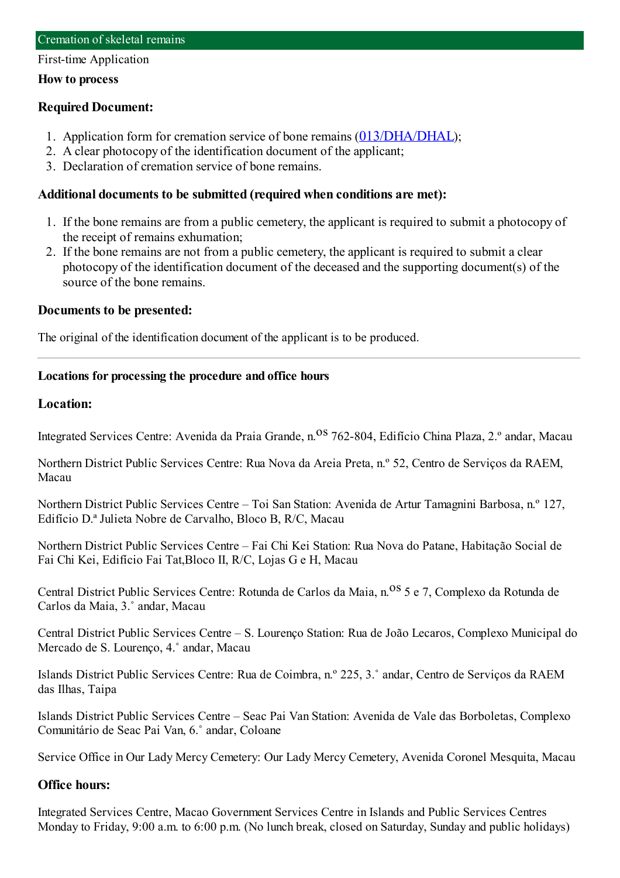#### First-time Application

#### **How to process**

### **Required Document:**

- 1. Application form for cremation service of bone remains ([013/DHA/DHAL](https://www.iam.gov.mo/c/pdf/eformDetail/PDF1044));
- 2. A clear photocopy of the identification document of the applicant;
- 3. Declaration of cremation service of bone remains.

# **Additional documents to be submitted (required when conditions are met):**

- 1. If the bone remains are from a public cemetery, the applicant is required to submit a photocopy of the receipt of remains exhumation;
- 2. If the bone remains are not from a public cemetery, the applicant is required to submit a clear photocopy of the identification document of the deceased and the supporting document(s) of the source of the bone remains.

### **Documents to be presented:**

The original of the identification document of the applicant is to be produced.

### **Locations for processing the procedure and office hours**

# **Location:**

Integrated Services Centre: Avenida da Praia Grande, n.<sup>08</sup> 762-804, Edifício China Plaza, 2.º andar, Macau

Northern District Public Services Centre: Rua Nova da Areia Preta, n.º 52, Centro de Serviços da RAEM, Macau

Northern District Public Services Centre – Toi San Station: Avenida de Artur Tamagnini Barbosa, n.º 127, Edifício D.ª Julieta Nobre de Carvalho, Bloco B, R/C, Macau

Northern District Public Services Centre – Fai Chi Kei Station: Rua Nova do Patane, Habitação Social de Fai Chi Kei, Edifício Fai Tat,Bloco II, R/C, Lojas G e H, Macau

Central District Public Services Centre: Rotunda de Carlos da Maia, n.<sup>08</sup> 5 e 7, Complexo da Rotunda de Carlos da Maia, 3.˚ andar, Macau

Central District Public Services Centre – S. Lourenço Station: Rua de João Lecaros, Complexo Municipal do Mercado de S. Lourenço, 4.˚ andar, Macau

Islands District Public Services Centre: Rua de Coimbra, n.º 225, 3.˚ andar, Centro de Serviços da RAEM das Ilhas, Taipa

Islands District Public Services Centre – Seac Pai Van Station: Avenida de Vale das Borboletas, Complexo Comunitário de Seac Pai Van, 6.˚ andar, Coloane

Service Office in Our Lady Mercy Cemetery: Our Lady Mercy Cemetery, Avenida Coronel Mesquita, Macau

# **Office hours:**

Integrated Services Centre, Macao Government Services Centre in Islands and Public Services Centres Monday to Friday, 9:00 a.m. to 6:00 p.m. (No lunch break, closed on Saturday, Sunday and public holidays)